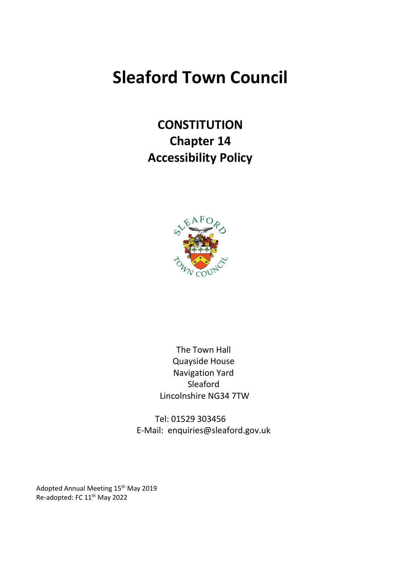# **Sleaford Town Council**

**CONSTITUTION Chapter 14 Accessibility Policy**



The Town Hall Quayside House Navigation Yard Sleaford Lincolnshire NG34 7TW

Tel: 01529 303456 E-Mail: enquiries@sleaford.gov.uk

Adopted Annual Meeting 15<sup>th</sup> May 2019 Re-adopted: FC 11th May 2022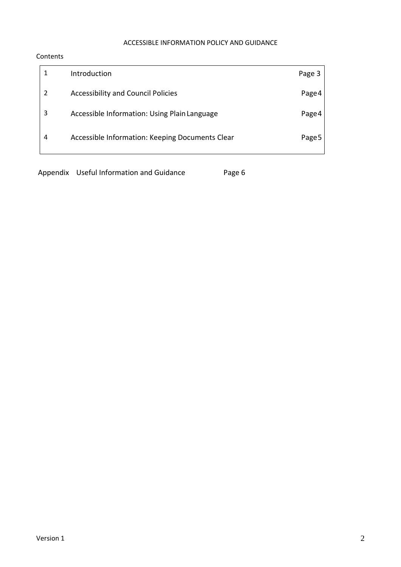## ACCESSIBLE INFORMATION POLICY AND GUIDANCE

## Contents

|               | Introduction                                    | Page 3 |
|---------------|-------------------------------------------------|--------|
| $\mathcal{P}$ | <b>Accessibility and Council Policies</b>       | Page 4 |
| 3             | Accessible Information: Using Plain Language    | Page 4 |
| 4             | Accessible Information: Keeping Documents Clear | Page 5 |

Appendix Useful Information and Guidance Page 6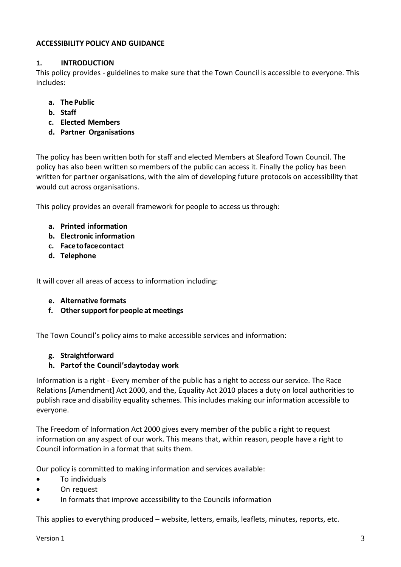## **ACCESSIBILITY POLICY AND GUIDANCE**

## **1. INTRODUCTION**

This policy provides - guidelines to make sure that the Town Council is accessible to everyone. This includes:

- **a. The Public**
- **b. Staff**
- **c. Elected Members**
- **d. Partner Organisations**

The policy has been written both for staff and elected Members at Sleaford Town Council. The policy has also been written so members of the public can access it. Finally the policy has been written for partner organisations, with the aim of developing future protocols on accessibility that would cut across organisations.

This policy provides an overall framework for people to access us through:

- **a. Printed information**
- **b. Electronic information**
- **c. Facetofacecontact**
- **d. Telephone**

It will cover all areas of access to information including:

- **e. Alternative formats**
- **f. Othersupportfor people at meetings**

The Town Council's policy aims to make accessible services and information:

#### **g. Straightforward**

**h. Partof the Council's daytoday work**

Information is a right - Every member of the public has a right to access our service. The Race Relations [Amendment] Act 2000, and the, Equality Act 2010 places a duty on local authorities to publish race and disability equality schemes. This includes making our information accessible to everyone.

The Freedom of Information Act 2000 gives every member of the public a right to request information on any aspect of our work. This means that, within reason, people have a right to Council information in a format that suits them.

Our policy is committed to making information and services available:

- To individuals
- On request
- In formats that improve accessibility to the Councils information

This applies to everything produced – website, letters, emails, leaflets, minutes, reports, etc.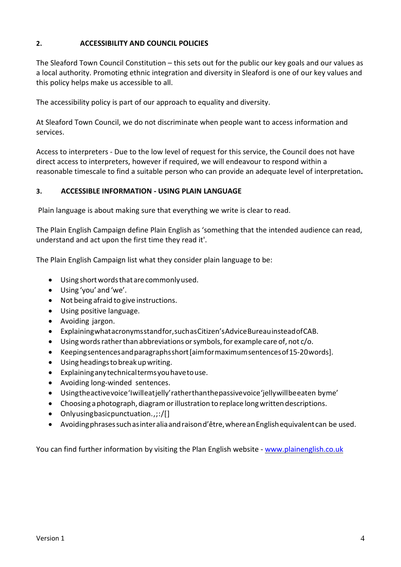# **2. ACCESSIBILITY AND COUNCIL POLICIES**

The Sleaford Town Council Constitution – this sets out for the public our key goals and our values as a local authority. Promoting ethnic integration and diversity in Sleaford is one of our key values and this policy helps make us accessible to all.

The accessibility policy is part of our approach to equality and diversity.

At Sleaford Town Council, we do not discriminate when people want to access information and services.

Access to interpreters - Due to the low level of request for this service, the Council does not have direct access to interpreters, however if required, we will endeavour to respond within a reasonable timescale to find a suitable person who can provide an adequate level of interpretation**.**

## **3. ACCESSIBLE INFORMATION - USING PLAIN LANGUAGE**

Plain language is about making sure that everything we write is clear to read.

The Plain English Campaign define Plain English as 'something that the intended audience can read, understand and act upon the first time they read it'.

The Plain English Campaign list what they consider plain language to be:

- Using short words that are commonly used.
- Using 'you' and 'we'.
- Not being afraid to give instructions.
- Using positive language.
- Avoiding jargon.
- Explainingwhatacronymsstandfor,suchasCitizen'sAdviceBureauinsteadofCAB.
- Using words rather than abbreviations or symbols, for example care of, not c/o.
- Keepingsentencesandparagraphsshort[aimformaximumsentencesof15-20words].
- Using headings to break up writing.
- Explaininganytechnicaltermsyouhavetouse.
- Avoiding long-winded sentences.
- Usingtheactivevoice'Iwilleatjelly'ratherthanthepassivevoice'jellywillbeeaten byme'
- Choosing a photograph, diagram or illustration to replace long written descriptions.
- Onlyusing basic punctuation., ;:/[]
- Avoidingphrasessuchasinteraliaandraisond'être,whereanEnglishequivalentcan be used.

You can find further information by visiting the Plan English website - [www.plainenglish.co.uk](http://www.plainenglish.co.uk/)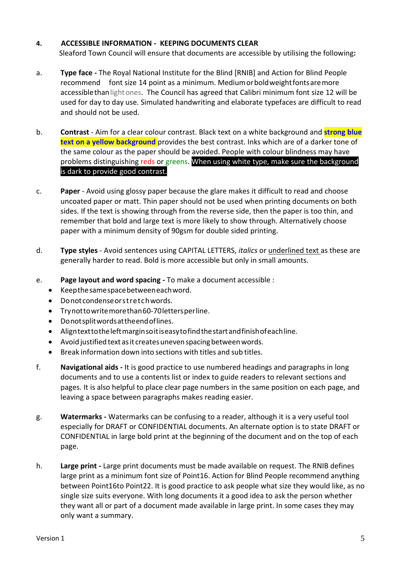## **4. ACCESSIBLE INFORMATION - KEEPING DOCUMENTS CLEAR**

Sleaford Town Council will ensure that documents are accessible by utilising the following**:**

- a. **Type face -** The Royal National Institute for the Blind [RNIB] and Action for Blind People recommend font size 14 point as a minimum. Mediumorboldweightfontsaremore accessiblethanlightones. The Council has agreed that Calibri minimum font size 12 will be used for day to day use. Simulated handwriting and elaborate typefaces are difficult to read and should not be used.
- b. **Contrast** Aim for a clear colour contrast. Black text on a white background and **strong blue** text on a yellow background provides the best contrast. Inks which are of a darker tone of the same colour as the paper should be avoided. People with colour blindness may have problems distinguishing reds or greens. When using white type, make sure the background is dark to provide good contrast.
- c. **Paper** Avoid using glossy paper because the glare makes it difficult to read and choose uncoated paper or matt. Thin paper should not be used when printing documents on both sides. If the text is showing through from the reverse side, then the paper is too thin, and remember that bold and large text is more likely to show through. Alternatively choose paper with a minimum density of 90gsm for double sided printing.
- d. **Type styles** Avoid sentences using CAPITAL LETTERS, *italics* or underlined text as these are generally harder to read. Bold is more accessible but only in small amounts.
- e. **Page layout and word spacing -** To make a document accessible :
	- Keepthesamespacebetweeneachword.
	- Donotcondenseorstretchwords.
	- Trynottowritemorethan60-70lettersperline.
	- Donotsplitwordsattheendoflines.
	- Aligntexttotheleftmarginsoitiseasytofindthestartandfinishofeachline.
	- Avoid justified text as it creates uneven spacing between words.
	- Break information down into sections with titles and sub titles.
- f. **Navigational aids -** It is good practice to use numbered headings and paragraphs in long documents and to use a contents list or index to guide readers to relevant sections and pages. It is also helpful to place clear page numbers in the same position on each page, and leaving a space between paragraphs makes reading easier.
- g. **Watermarks -** Watermarks can be confusing to a reader, although it is a very useful tool especially for DRAFT or CONFIDENTIAL documents. An alternate option is to state DRAFT or CONFIDENTIAL in large bold print at the beginning of the document and on the top of each page.
- h. **Large print -** Large print documents must be made available on request. The RNIB defines large print as a minimum font size of Point16. Action for Blind People recommend anything between Point16to Point22. It is good practice to ask people what size they would like, as no single size suits everyone. With long documents it a good idea to ask the person whether they want all or part of a document made available in large print. In some cases they may only want a summary.